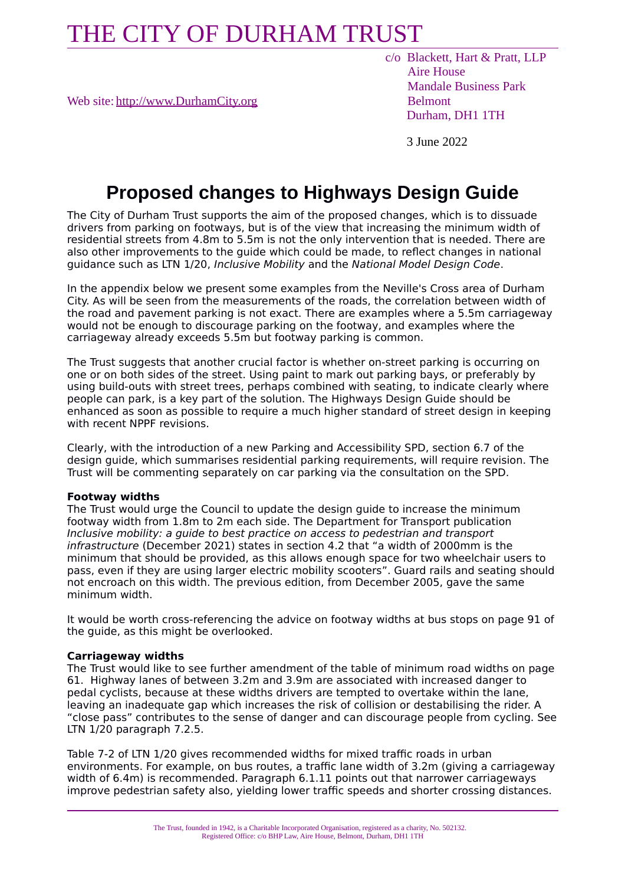Web site: [http://www.DurhamCity.org](http://www.DurhamCity.org/) Belmont

 c/o Blackett, Hart & Pratt, LLP Aire House Mandale Business Park Durham, DH1 1TH

3 June 2022

## **Proposed changes to Highways Design Guide**

The City of Durham Trust supports the aim of the proposed changes, which is to dissuade drivers from parking on footways, but is of the view that increasing the minimum width of residential streets from 4.8m to 5.5m is not the only intervention that is needed. There are also other improvements to the guide which could be made, to reflect changes in national guidance such as LTN 1/20, Inclusive Mobility and the National Model Design Code.

In the appendix below we present some examples from the Neville's Cross area of Durham City. As will be seen from the measurements of the roads, the correlation between width of the road and pavement parking is not exact. There are examples where a 5.5m carriageway would not be enough to discourage parking on the footway, and examples where the carriageway already exceeds 5.5m but footway parking is common.

The Trust suggests that another crucial factor is whether on-street parking is occurring on one or on both sides of the street. Using paint to mark out parking bays, or preferably by using build-outs with street trees, perhaps combined with seating, to indicate clearly where people can park, is a key part of the solution. The Highways Design Guide should be enhanced as soon as possible to require a much higher standard of street design in keeping with recent NPPF revisions.

Clearly, with the introduction of a new Parking and Accessibility SPD, section 6.7 of the design guide, which summarises residential parking requirements, will require revision. The Trust will be commenting separately on car parking via the consultation on the SPD.

### **Footway widths**

The Trust would urge the Council to update the design guide to increase the minimum footway width from 1.8m to 2m each side. The Department for Transport publication Inclusive mobility: a guide to best practice on access to pedestrian and transport infrastructure (December 2021) states in section 4.2 that "a width of 2000mm is the minimum that should be provided, as this allows enough space for two wheelchair users to pass, even if they are using larger electric mobility scooters". Guard rails and seating should not encroach on this width. The previous edition, from December 2005, gave the same minimum width.

It would be worth cross-referencing the advice on footway widths at bus stops on page 91 of the guide, as this might be overlooked.

### **Carriageway widths**

The Trust would like to see further amendment of the table of minimum road widths on page 61. Highway lanes of between 3.2m and 3.9m are associated with increased danger to pedal cyclists, because at these widths drivers are tempted to overtake within the lane, leaving an inadequate gap which increases the risk of collision or destabilising the rider. A "close pass" contributes to the sense of danger and can discourage people from cycling. See LTN 1/20 paragraph 7.2.5.

Table 7-2 of LTN 1/20 gives recommended widths for mixed traffic roads in urban environments. For example, on bus routes, a traffic lane width of 3.2m (giving a carriageway width of 6.4m) is recommended. Paragraph 6.1.11 points out that narrower carriageways improve pedestrian safety also, yielding lower traffic speeds and shorter crossing distances.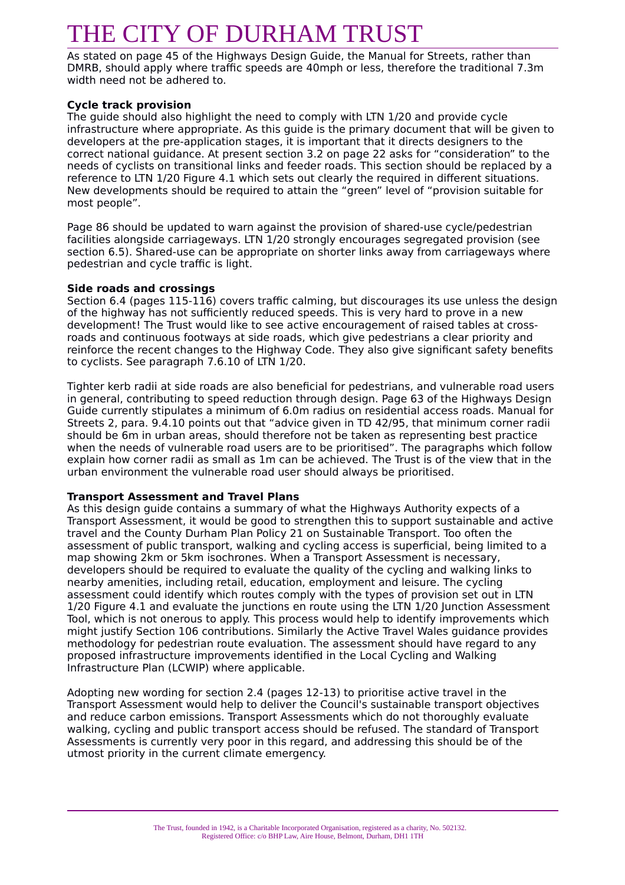As stated on page 45 of the Highways Design Guide, the Manual for Streets, rather than DMRB, should apply where traffic speeds are 40mph or less, therefore the traditional 7.3m width need not be adhered to.

## **Cycle track provision**

The guide should also highlight the need to comply with LTN 1/20 and provide cycle infrastructure where appropriate. As this guide is the primary document that will be given to developers at the pre-application stages, it is important that it directs designers to the correct national guidance. At present section 3.2 on page 22 asks for "consideration" to the needs of cyclists on transitional links and feeder roads. This section should be replaced by a reference to LTN 1/20 Figure 4.1 which sets out clearly the required in different situations. New developments should be required to attain the "green" level of "provision suitable for most people".

Page 86 should be updated to warn against the provision of shared-use cycle/pedestrian facilities alongside carriageways. LTN 1/20 strongly encourages segregated provision (see section 6.5). Shared-use can be appropriate on shorter links away from carriageways where pedestrian and cycle traffic is light.

### **Side roads and crossings**

Section 6.4 (pages 115-116) covers traffic calming, but discourages its use unless the design of the highway has not sufficiently reduced speeds. This is very hard to prove in a new development! The Trust would like to see active encouragement of raised tables at crossroads and continuous footways at side roads, which give pedestrians a clear priority and reinforce the recent changes to the Highway Code. They also give significant safety benefits to cyclists. See paragraph 7.6.10 of LTN 1/20.

Tighter kerb radii at side roads are also beneficial for pedestrians, and vulnerable road users in general, contributing to speed reduction through design. Page 63 of the Highways Design Guide currently stipulates a minimum of 6.0m radius on residential access roads. Manual for Streets 2, para. 9.4.10 points out that "advice given in TD 42/95, that minimum corner radii should be 6m in urban areas, should therefore not be taken as representing best practice when the needs of vulnerable road users are to be prioritised". The paragraphs which follow explain how corner radii as small as 1m can be achieved. The Trust is of the view that in the urban environment the vulnerable road user should always be prioritised.

### **Transport Assessment and Travel Plans**

As this design guide contains a summary of what the Highways Authority expects of a Transport Assessment, it would be good to strengthen this to support sustainable and active travel and the County Durham Plan Policy 21 on Sustainable Transport. Too often the assessment of public transport, walking and cycling access is superficial, being limited to a map showing 2km or 5km isochrones. When a Transport Assessment is necessary, developers should be required to evaluate the quality of the cycling and walking links to nearby amenities, including retail, education, employment and leisure. The cycling assessment could identify which routes comply with the types of provision set out in LTN 1/20 Figure 4.1 and evaluate the junctions en route using the LTN 1/20 Junction Assessment Tool, which is not onerous to apply. This process would help to identify improvements which might justify Section 106 contributions. Similarly the Active Travel Wales guidance provides methodology for pedestrian route evaluation. The assessment should have regard to any proposed infrastructure improvements identified in the Local Cycling and Walking Infrastructure Plan (LCWIP) where applicable.

Adopting new wording for section 2.4 (pages 12-13) to prioritise active travel in the Transport Assessment would help to deliver the Council's sustainable transport objectives and reduce carbon emissions. Transport Assessments which do not thoroughly evaluate walking, cycling and public transport access should be refused. The standard of Transport Assessments is currently very poor in this regard, and addressing this should be of the utmost priority in the current climate emergency.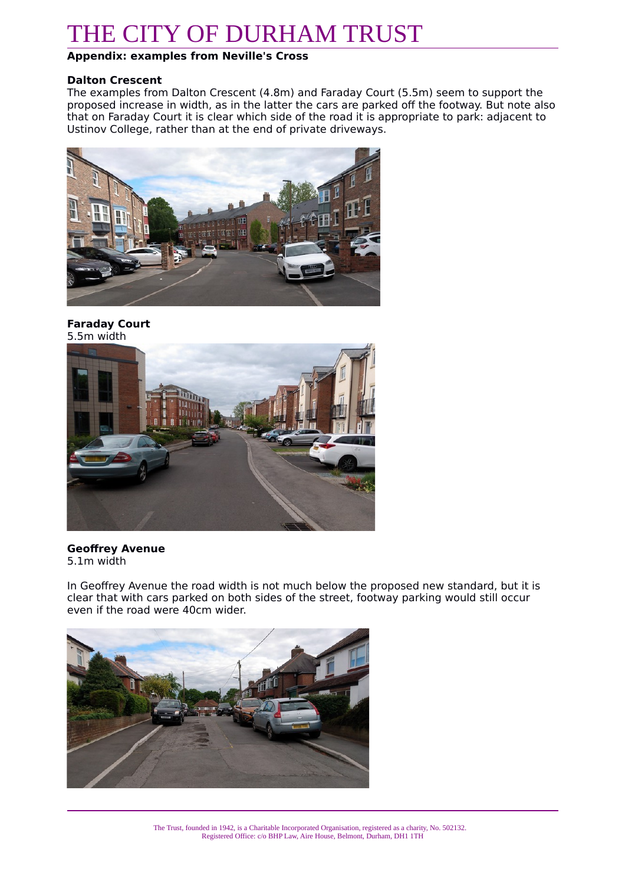## **Appendix: examples from Neville's Cross**

### **Dalton Crescent**

The examples from Dalton Crescent (4.8m) and Faraday Court (5.5m) seem to support the proposed increase in width, as in the latter the cars are parked off the footway. But note also that on Faraday Court it is clear which side of the road it is appropriate to park: adjacent to Ustinov College, rather than at the end of private driveways.



### **Faraday Court** 5.5m width



## **Geoffrey Avenue** 5.1m width

In Geoffrey Avenue the road width is not much below the proposed new standard, but it is clear that with cars parked on both sides of the street, footway parking would still occur even if the road were 40cm wider.

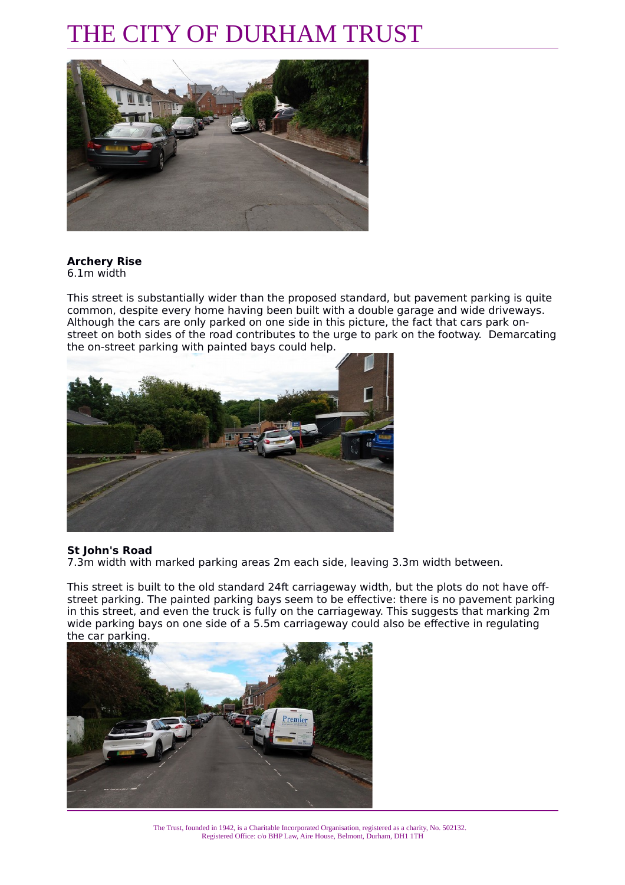

## **Archery Rise**

6.1m width

This street is substantially wider than the proposed standard, but pavement parking is quite common, despite every home having been built with a double garage and wide driveways. Although the cars are only parked on one side in this picture, the fact that cars park onstreet on both sides of the road contributes to the urge to park on the footway. Demarcating the on-street parking with painted bays could help.



## **St John's Road**

7.3m width with marked parking areas 2m each side, leaving 3.3m width between.

This street is built to the old standard 24ft carriageway width, but the plots do not have offstreet parking. The painted parking bays seem to be effective: there is no pavement parking in this street, and even the truck is fully on the carriageway. This suggests that marking 2m wide parking bays on one side of a 5.5m carriageway could also be effective in regulating the car parking.



The Trust, founded in 1942, is a Charitable Incorporated Organisation, registered as a charity, No. 502132. Registered Office: c/o BHP Law, Aire House, Belmont, Durham, DH1 1TH